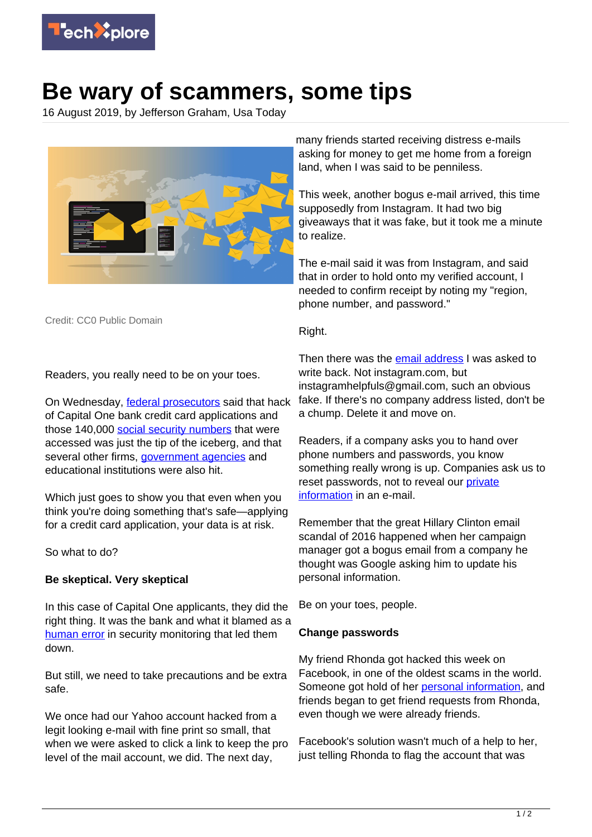

## **Be wary of scammers, some tips**

16 August 2019, by Jefferson Graham, Usa Today



many friends started receiving distress e-mails asking for money to get me home from a foreign land, when I was said to be penniless.

This week, another bogus e-mail arrived, this time supposedly from Instagram. It had two big giveaways that it was fake, but it took me a minute to realize.

The e-mail said it was from Instagram, and said that in order to hold onto my verified account, I needed to confirm receipt by noting my "region, phone number, and password."

Credit: CC0 Public Domain

Readers, you really need to be on your toes.

On Wednesday, [federal prosecutors](https://techxplore.com/tags/federal+prosecutors/) said that hack of Capital One bank credit card applications and those 140,000 [social security numbers](https://techxplore.com/tags/social+security+numbers/) that were accessed was just the tip of the iceberg, and that several other firms, [government agencies](https://techxplore.com/tags/government+agencies/) and educational institutions were also hit.

Which just goes to show you that even when you think you're doing something that's safe—applying for a credit card application, your data is at risk.

So what to do?

## **Be skeptical. Very skeptical**

In this case of Capital One applicants, they did the right thing. It was the bank and what it blamed as a [human error](https://techxplore.com/tags/human+error/) in security monitoring that led them down.

But still, we need to take precautions and be extra safe.

We once had our Yahoo account hacked from a legit looking e-mail with fine print so small, that when we were asked to click a link to keep the pro level of the mail account, we did. The next day,

## Right.

Then there was the [email address](https://techxplore.com/tags/email+address/) I was asked to write back. Not instagram.com, but instagramhelpfuls@gmail.com, such an obvious fake. If there's no company address listed, don't be a chump. Delete it and move on.

Readers, if a company asks you to hand over phone numbers and passwords, you know something really wrong is up. Companies ask us to reset passwords, not to reveal our [private](https://techxplore.com/tags/private+information/) [information](https://techxplore.com/tags/private+information/) in an e-mail.

Remember that the great Hillary Clinton email scandal of 2016 happened when her campaign manager got a bogus email from a company he thought was Google asking him to update his personal information.

Be on your toes, people.

## **Change passwords**

My friend Rhonda got hacked this week on Facebook, in one of the oldest scams in the world. Someone got hold of her [personal information,](https://techxplore.com/tags/personal+information/) and friends began to get friend requests from Rhonda, even though we were already friends.

Facebook's solution wasn't much of a help to her, just telling Rhonda to flag the account that was